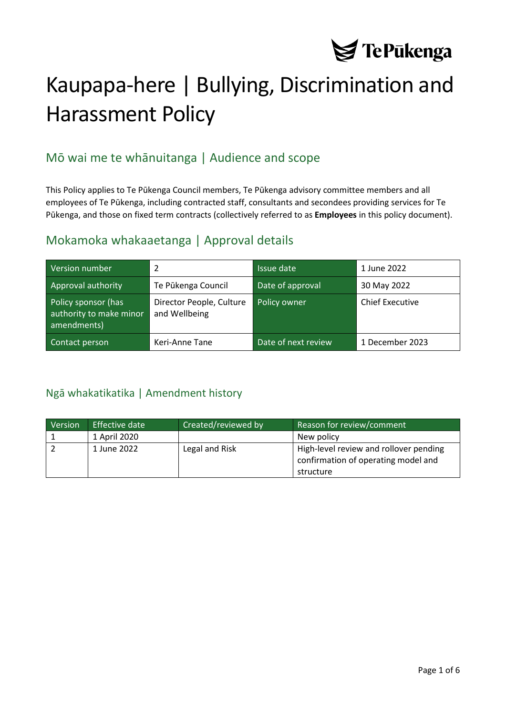

# Kaupapa-here | Bullying, Discrimination and Harassment Policy

# Mō wai me te whānuitanga | Audience and scope

This Policy applies to Te Pūkenga Council members, Te Pūkenga advisory committee members and all employees of Te Pūkenga, including contracted staff, consultants and secondees providing services for Te Pūkenga, and those on fixed term contracts (collectively referred to as **Employees** in this policy document).

## Mokamoka whakaaetanga | Approval details

| Version number                                                | 2                                         | Issue date          | 1 June 2022            |
|---------------------------------------------------------------|-------------------------------------------|---------------------|------------------------|
| Approval authority                                            | Te Pūkenga Council                        | Date of approval    | 30 May 2022            |
| Policy sponsor (has<br>authority to make minor<br>amendments) | Director People, Culture<br>and Wellbeing | Policy owner        | <b>Chief Executive</b> |
| Contact person                                                | Keri-Anne Tane                            | Date of next review | 1 December 2023        |

### <span id="page-0-0"></span>Ngā whakatikatika | Amendment history

| Version | Effective date | <b>Created/reviewed by</b> | Reason for review/comment                                                     |
|---------|----------------|----------------------------|-------------------------------------------------------------------------------|
|         | 1 April 2020   |                            | New policy                                                                    |
|         | 1 June 2022    | Legal and Risk             | High-level review and rollover pending<br>confirmation of operating model and |
|         |                |                            | structure                                                                     |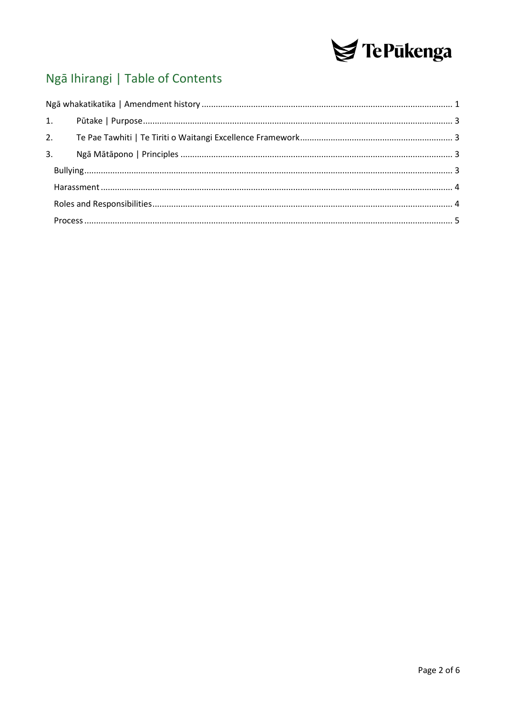

# Ngā Ihirangi | Table of Contents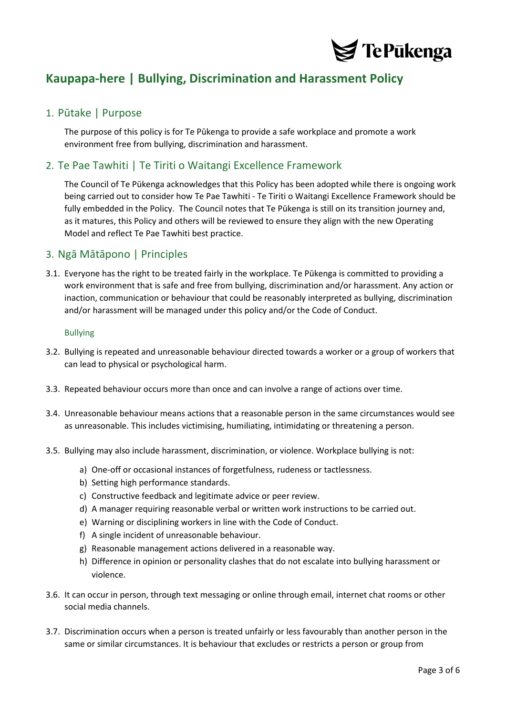

# **Kaupapa-here | Bullying, Discrimination and Harassment Policy**

#### <span id="page-2-0"></span>1. Pūtake | Purpose

The purpose of this policy is for Te Pūkenga to provide a safe workplace and promote a work environment free from bullying, discrimination and harassment.

#### <span id="page-2-1"></span>2. Te Pae Tawhiti | Te Tiriti o Waitangi Excellence Framework

The Council of Te Pūkenga acknowledges that this Policy has been adopted while there is ongoing work being carried out to consider how Te Pae Tawhiti - Te Tiriti o Waitangi Excellence Framework should be fully embedded in the Policy. The Council notes that Te Pūkenga is still on its transition journey and, as it matures, this Policy and others will be reviewed to ensure they align with the new Operating Model and reflect Te Pae Tawhiti best practice.

#### <span id="page-2-2"></span>3. Ngā Mātāpono | Principles

3.1. Everyone has the right to be treated fairly in the workplace. Te Pūkenga is committed to providing a work environment that is safe and free from bullying, discrimination and/or harassment. Any action or inaction, communication or behaviour that could be reasonably interpreted as bullying, discrimination and/or harassment will be managed under this policy and/or the Code of Conduct.

#### <span id="page-2-3"></span>Bullying

- 3.2. Bullying is repeated and unreasonable behaviour directed towards a worker or a group of workers that can lead to physical or psychological harm.
- 3.3. Repeated behaviour occurs more than once and can involve a range of actions over time.
- 3.4. Unreasonable behaviour means actions that a reasonable person in the same circumstances would see as unreasonable. This includes victimising, humiliating, intimidating or threatening a person.
- 3.5. Bullying may also include harassment, discrimination, or violence. Workplace bullying is not:
	- a) One-off or occasional instances of forgetfulness, rudeness or tactlessness.
	- b) Setting high performance standards.
	- c) Constructive feedback and legitimate advice or peer review.
	- d) A manager requiring reasonable verbal or written work instructions to be carried out.
	- e) Warning or disciplining workers in line with the Code of Conduct.
	- f) A single incident of unreasonable behaviour.
	- g) Reasonable management actions delivered in a reasonable way.
	- h) Difference in opinion or personality clashes that do not escalate into bullying harassment or violence.
- 3.6. It can occur in person, through text messaging or online through email, internet chat rooms or other social media channels.
- 3.7. Discrimination occurs when a person is treated unfairly or less favourably than another person in the same or similar circumstances. It is behaviour that excludes or restricts a person or group from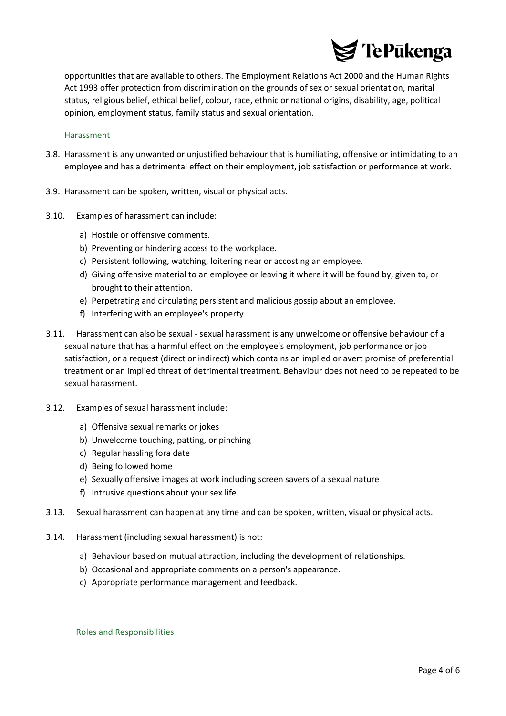

opportunities that are available to others. The Employment Relations Act 2000 and the Human Rights Act 1993 offer protection from discrimination on the grounds of sex or sexual orientation, marital status, religious belief, ethical belief, colour, race, ethnic or national origins, disability, age, political opinion, employment status, family status and sexual orientation.

#### <span id="page-3-0"></span>Harassment

- 3.8. Harassment is any unwanted or unjustified behaviour that is humiliating, offensive or intimidating to an employee and has a detrimental effect on their employment, job satisfaction or performance at work.
- 3.9. Harassment can be spoken, written, visual or physical acts.
- 3.10. Examples of harassment can include:
	- a) Hostile or offensive comments.
	- b) Preventing or hindering access to the workplace.
	- c) Persistent following, watching, loitering near or accosting an employee.
	- d) Giving offensive material to an employee or leaving it where it will be found by, given to, or brought to their attention.
	- e) Perpetrating and circulating persistent and malicious gossip about an employee.
	- f) Interfering with an employee's property.
- 3.11. Harassment can also be sexual sexual harassment is any unwelcome or offensive behaviour of a sexual nature that has a harmful effect on the employee's employment, job performance or job satisfaction, or a request (direct or indirect) which contains an implied or avert promise of preferential treatment or an implied threat of detrimental treatment. Behaviour does not need to be repeated to be sexual harassment.
- 3.12. Examples of sexual harassment include:
	- a) Offensive sexual remarks or jokes
	- b) Unwelcome touching, patting, or pinching
	- c) Regular hassling fora date
	- d) Being followed home
	- e) Sexually offensive images at work including screen savers of a sexual nature
	- f) Intrusive questions about your sex life.
- 3.13. Sexual harassment can happen at any time and can be spoken, written, visual or physical acts.
- 3.14. Harassment (including sexual harassment) is not:
	- a) Behaviour based on mutual attraction, including the development of relationships.
	- b) Occasional and appropriate comments on a person's appearance.
	- c) Appropriate performance management and feedback.

<span id="page-3-1"></span>Roles and Responsibilities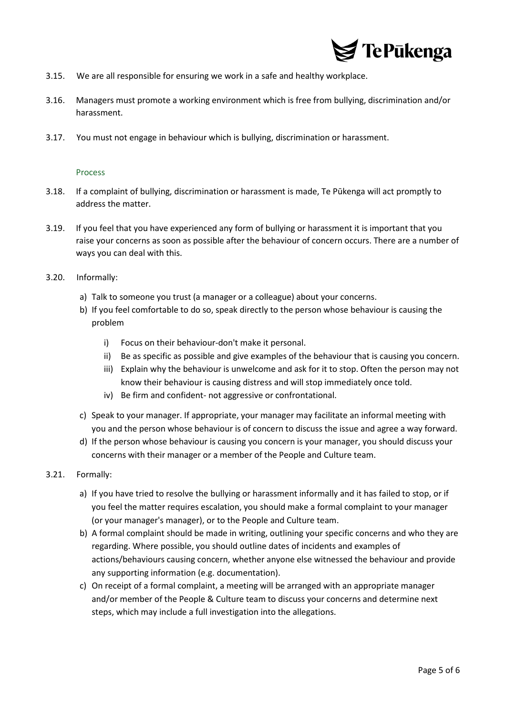

- 3.15. We are all responsible for ensuring we work in a safe and healthy workplace.
- 3.16. Managers must promote a working environment which is free from bullying, discrimination and/or harassment.
- 3.17. You must not engage in behaviour which is bullying, discrimination or harassment.

#### Process

- <span id="page-4-0"></span>3.18. If a complaint of bullying, discrimination or harassment is made, Te Pūkenga will act promptly to address the matter.
- 3.19. If you feel that you have experienced any form of bullying or harassment it is important that you raise your concerns as soon as possible after the behaviour of concern occurs. There are a number of ways you can deal with this.
- 3.20. Informally:
	- a) Talk to someone you trust (a manager or a colleague) about your concerns.
	- b) If you feel comfortable to do so, speak directly to the person whose behaviour is causing the problem
		- i) Focus on their behaviour-don't make it personal.
		- ii) Be as specific as possible and give examples of the behaviour that is causing you concern.
		- iii) Explain why the behaviour is unwelcome and ask for it to stop. Often the person may not know their behaviour is causing distress and will stop immediately once told.
		- iv) Be firm and confident- not aggressive or confrontational.
	- c) Speak to your manager. If appropriate, your manager may facilitate an informal meeting with you and the person whose behaviour is of concern to discuss the issue and agree a way forward.
	- d) If the person whose behaviour is causing you concern is your manager, you should discuss your concerns with their manager or a member of the People and Culture team.

#### 3.21. Formally:

- a) If you have tried to resolve the bullying or harassment informally and it has failed to stop, or if you feel the matter requires escalation, you should make a formal complaint to your manager (or your manager's manager), or to the People and Culture team.
- b) A formal complaint should be made in writing, outlining your specific concerns and who they are regarding. Where possible, you should outline dates of incidents and examples of actions/behaviours causing concern, whether anyone else witnessed the behaviour and provide any supporting information (e.g. documentation).
- c) On receipt of a formal complaint, a meeting will be arranged with an appropriate manager and/or member of the People & Culture team to discuss your concerns and determine next steps, which may include a full investigation into the allegations.